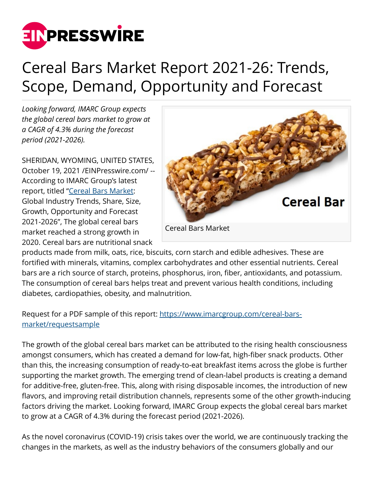

## Cereal Bars Market Report 2021-26: Trends, Scope, Demand, Opportunity and Forecast

*Looking forward, IMARC Group expects the global cereal bars market to grow at a CAGR of 4.3% during the forecast period (2021-2026).*

SHERIDAN, WYOMING, UNITED STATES, October 19, 2021 [/EINPresswire.com](http://www.einpresswire.com)/ -- According to IMARC Group's latest report, titled ["Cereal Bars Market](https://www.imarcgroup.com/cereal-bars-market): Global Industry Trends, Share, Size, Growth, Opportunity and Forecast 2021-2026", The global cereal bars market reached a strong growth in 2020. Cereal bars are nutritional snack



products made from milk, oats, rice, biscuits, corn starch and edible adhesives. These are fortified with minerals, vitamins, complex carbohydrates and other essential nutrients. Cereal bars are a rich source of starch, proteins, phosphorus, iron, fiber, antioxidants, and potassium. The consumption of cereal bars helps treat and prevent various health conditions, including diabetes, cardiopathies, obesity, and malnutrition.

## Request for a PDF sample of this report: [https://www.imarcgroup.com/cereal-bars](https://www.imarcgroup.com/cereal-bars-market/requestsample)[market/requestsample](https://www.imarcgroup.com/cereal-bars-market/requestsample)

The growth of the global cereal bars market can be attributed to the rising health consciousness amongst consumers, which has created a demand for low-fat, high-fiber snack products. Other than this, the increasing consumption of ready-to-eat breakfast items across the globe is further supporting the market growth. The emerging trend of clean-label products is creating a demand for additive-free, gluten-free. This, along with rising disposable incomes, the introduction of new flavors, and improving retail distribution channels, represents some of the other growth-inducing factors driving the market. Looking forward, IMARC Group expects the global cereal bars market to grow at a CAGR of 4.3% during the forecast period (2021-2026).

As the novel coronavirus (COVID-19) crisis takes over the world, we are continuously tracking the changes in the markets, as well as the industry behaviors of the consumers globally and our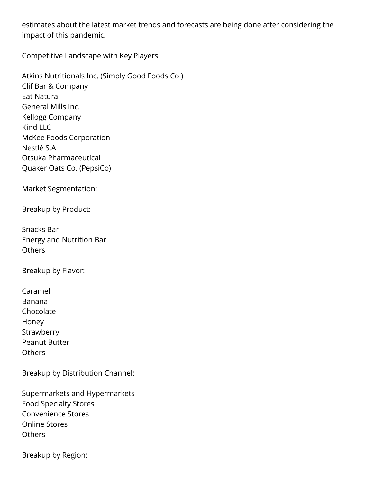estimates about the latest market trends and forecasts are being done after considering the impact of this pandemic.

Competitive Landscape with Key Players:

Atkins Nutritionals Inc. (Simply Good Foods Co.) Clif Bar & Company Eat Natural General Mills Inc. Kellogg Company Kind LLC McKee Foods Corporation Nestlé S.A Otsuka Pharmaceutical Quaker Oats Co. (PepsiCo)

Market Segmentation:

Breakup by Product:

Snacks Bar Energy and Nutrition Bar **Others** 

Breakup by Flavor:

Caramel Banana Chocolate Honey **Strawberry** Peanut Butter **Others** 

Breakup by Distribution Channel:

Supermarkets and Hypermarkets Food Specialty Stores Convenience Stores Online Stores **Others** 

Breakup by Region: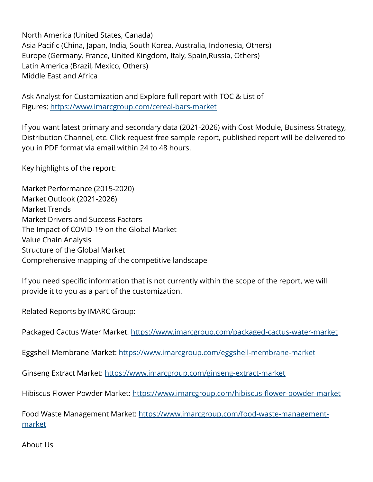North America (United States, Canada) Asia Pacific (China, Japan, India, South Korea, Australia, Indonesia, Others) Europe (Germany, France, United Kingdom, Italy, Spain,Russia, Others) Latin America (Brazil, Mexico, Others) Middle East and Africa

Ask Analyst for Customization and Explore full report with TOC & List of Figures: <https://www.imarcgroup.com/cereal-bars-market>

If you want latest primary and secondary data (2021-2026) with Cost Module, Business Strategy, Distribution Channel, etc. Click request free sample report, published report will be delivered to you in PDF format via email within 24 to 48 hours.

Key highlights of the report:

Market Performance (2015-2020) Market Outlook (2021-2026) Market Trends Market Drivers and Success Factors The Impact of COVID-19 on the Global Market Value Chain Analysis Structure of the Global Market Comprehensive mapping of the competitive landscape

If you need specific information that is not currently within the scope of the report, we will provide it to you as a part of the customization.

Related Reports by IMARC Group:

Packaged Cactus Water Market: <https://www.imarcgroup.com/packaged-cactus-water-market>

Eggshell Membrane Market:<https://www.imarcgroup.com/eggshell-membrane-market>

Ginseng Extract Market: <https://www.imarcgroup.com/ginseng-extract-market>

Hibiscus Flower Powder Market:<https://www.imarcgroup.com/hibiscus-flower-powder-market>

Food Waste Management Market: [https://www.imarcgroup.com/food-waste-management](https://www.imarcgroup.com/food-waste-management-market)[market](https://www.imarcgroup.com/food-waste-management-market)

About Us